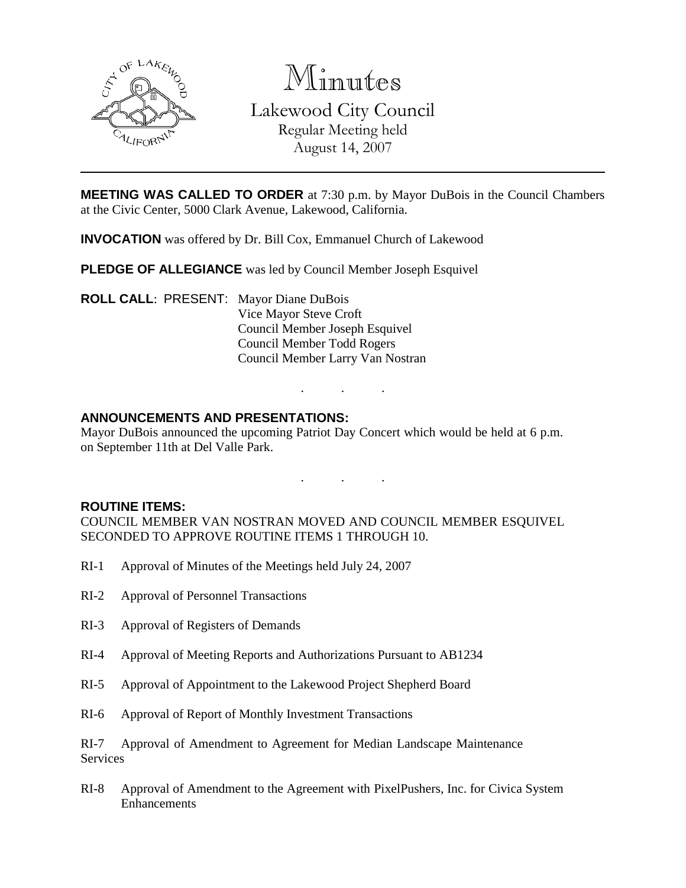

Minutes

Lakewood City Council Regular Meeting held

August 14, 2007

**MEETING WAS CALLED TO ORDER** at 7:30 p.m. by Mayor DuBois in the Council Chambers at the Civic Center, 5000 Clark Avenue, Lakewood, California.

**INVOCATION** was offered by Dr. Bill Cox, Emmanuel Church of Lakewood

**PLEDGE OF ALLEGIANCE** was led by Council Member Joseph Esquivel

**ROLL CALL**: PRESENT: Mayor Diane DuBois Vice Mayor Steve Croft Council Member Joseph Esquivel Council Member Todd Rogers Council Member Larry Van Nostran

# **ANNOUNCEMENTS AND PRESENTATIONS:**

Mayor DuBois announced the upcoming Patriot Day Concert which would be held at 6 p.m. on September 11th at Del Valle Park.

. . .

. . .

### **ROUTINE ITEMS:**

COUNCIL MEMBER VAN NOSTRAN MOVED AND COUNCIL MEMBER ESQUIVEL SECONDED TO APPROVE ROUTINE ITEMS 1 THROUGH 10.

- RI-1 Approval of Minutes of the Meetings held July 24, 2007
- RI-2 Approval of Personnel Transactions
- RI-3 Approval of Registers of Demands
- RI-4 Approval of Meeting Reports and Authorizations Pursuant to AB1234
- RI-5 Approval of Appointment to the Lakewood Project Shepherd Board
- RI-6 Approval of Report of Monthly Investment Transactions

RI-7 Approval of Amendment to Agreement for Median Landscape Maintenance Services

RI-8 Approval of Amendment to the Agreement with PixelPushers, Inc. for Civica System Enhancements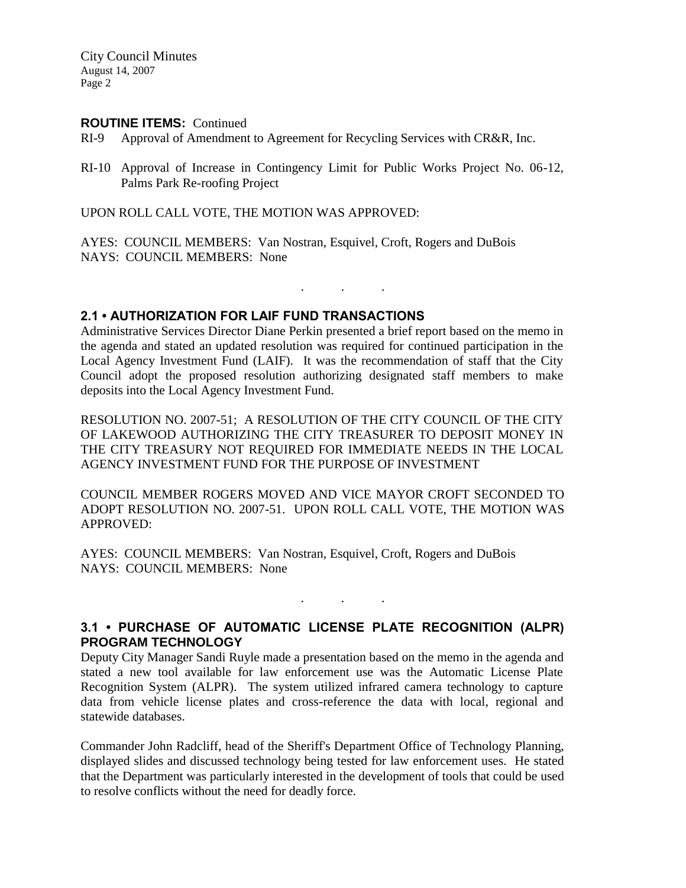City Council Minutes August 14, 2007 Page 2

#### **ROUTINE ITEMS:** Continued

- RI-9 Approval of Amendment to Agreement for Recycling Services with CR&R, Inc.
- RI-10 Approval of Increase in Contingency Limit for Public Works Project No. 06-12, Palms Park Re-roofing Project

UPON ROLL CALL VOTE, THE MOTION WAS APPROVED:

AYES: COUNCIL MEMBERS: Van Nostran, Esquivel, Croft, Rogers and DuBois NAYS: COUNCIL MEMBERS: None

#### **2.1 • AUTHORIZATION FOR LAIF FUND TRANSACTIONS**

Administrative Services Director Diane Perkin presented a brief report based on the memo in the agenda and stated an updated resolution was required for continued participation in the Local Agency Investment Fund (LAIF). It was the recommendation of staff that the City Council adopt the proposed resolution authorizing designated staff members to make deposits into the Local Agency Investment Fund.

. . .

RESOLUTION NO. 2007-51; A RESOLUTION OF THE CITY COUNCIL OF THE CITY OF LAKEWOOD AUTHORIZING THE CITY TREASURER TO DEPOSIT MONEY IN THE CITY TREASURY NOT REQUIRED FOR IMMEDIATE NEEDS IN THE LOCAL AGENCY INVESTMENT FUND FOR THE PURPOSE OF INVESTMENT

COUNCIL MEMBER ROGERS MOVED AND VICE MAYOR CROFT SECONDED TO ADOPT RESOLUTION NO. 2007-51. UPON ROLL CALL VOTE, THE MOTION WAS APPROVED:

AYES: COUNCIL MEMBERS: Van Nostran, Esquivel, Croft, Rogers and DuBois NAYS: COUNCIL MEMBERS: None

## **3.1 • PURCHASE OF AUTOMATIC LICENSE PLATE RECOGNITION (ALPR) PROGRAM TECHNOLOGY**

. . .

Deputy City Manager Sandi Ruyle made a presentation based on the memo in the agenda and stated a new tool available for law enforcement use was the Automatic License Plate Recognition System (ALPR). The system utilized infrared camera technology to capture data from vehicle license plates and cross-reference the data with local, regional and statewide databases.

Commander John Radcliff, head of the Sheriff's Department Office of Technology Planning, displayed slides and discussed technology being tested for law enforcement uses. He stated that the Department was particularly interested in the development of tools that could be used to resolve conflicts without the need for deadly force.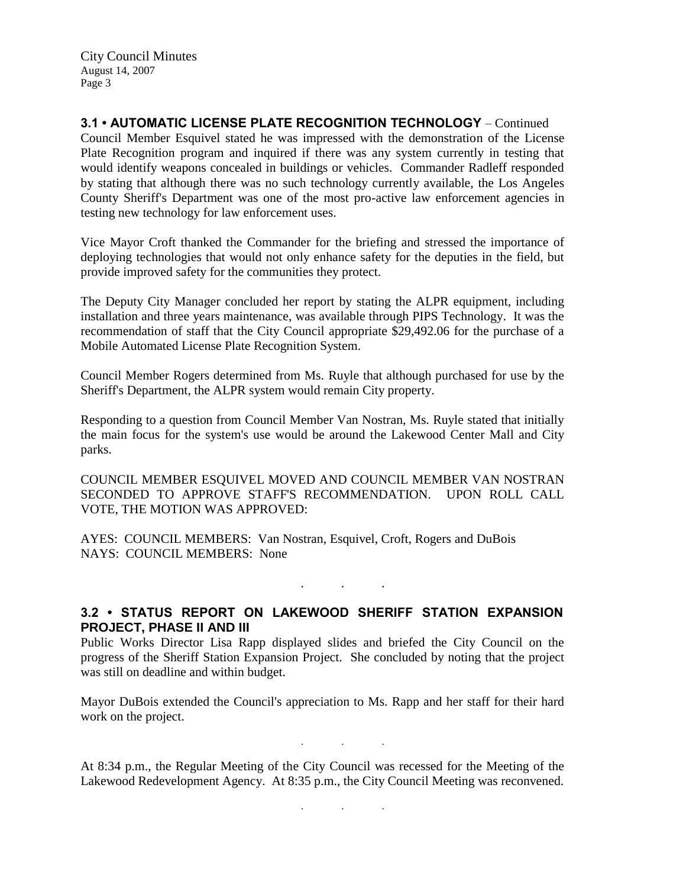City Council Minutes August 14, 2007 Page 3

**3.1 • AUTOMATIC LICENSE PLATE RECOGNITION TECHNOLOGY** – Continued Council Member Esquivel stated he was impressed with the demonstration of the License Plate Recognition program and inquired if there was any system currently in testing that would identify weapons concealed in buildings or vehicles. Commander Radleff responded by stating that although there was no such technology currently available, the Los Angeles County Sheriff's Department was one of the most pro-active law enforcement agencies in testing new technology for law enforcement uses.

Vice Mayor Croft thanked the Commander for the briefing and stressed the importance of deploying technologies that would not only enhance safety for the deputies in the field, but provide improved safety for the communities they protect.

The Deputy City Manager concluded her report by stating the ALPR equipment, including installation and three years maintenance, was available through PIPS Technology. It was the recommendation of staff that the City Council appropriate \$29,492.06 for the purchase of a Mobile Automated License Plate Recognition System.

Council Member Rogers determined from Ms. Ruyle that although purchased for use by the Sheriff's Department, the ALPR system would remain City property.

Responding to a question from Council Member Van Nostran, Ms. Ruyle stated that initially the main focus for the system's use would be around the Lakewood Center Mall and City parks.

COUNCIL MEMBER ESQUIVEL MOVED AND COUNCIL MEMBER VAN NOSTRAN SECONDED TO APPROVE STAFF'S RECOMMENDATION. UPON ROLL CALL VOTE, THE MOTION WAS APPROVED:

AYES: COUNCIL MEMBERS: Van Nostran, Esquivel, Croft, Rogers and DuBois NAYS: COUNCIL MEMBERS: None

. . .

# **3.2 • STATUS REPORT ON LAKEWOOD SHERIFF STATION EXPANSION PROJECT, PHASE II AND III**

Public Works Director Lisa Rapp displayed slides and briefed the City Council on the progress of the Sheriff Station Expansion Project. She concluded by noting that the project was still on deadline and within budget.

Mayor DuBois extended the Council's appreciation to Ms. Rapp and her staff for their hard work on the project.

. . .

. . .

At 8:34 p.m., the Regular Meeting of the City Council was recessed for the Meeting of the Lakewood Redevelopment Agency. At 8:35 p.m., the City Council Meeting was reconvened.